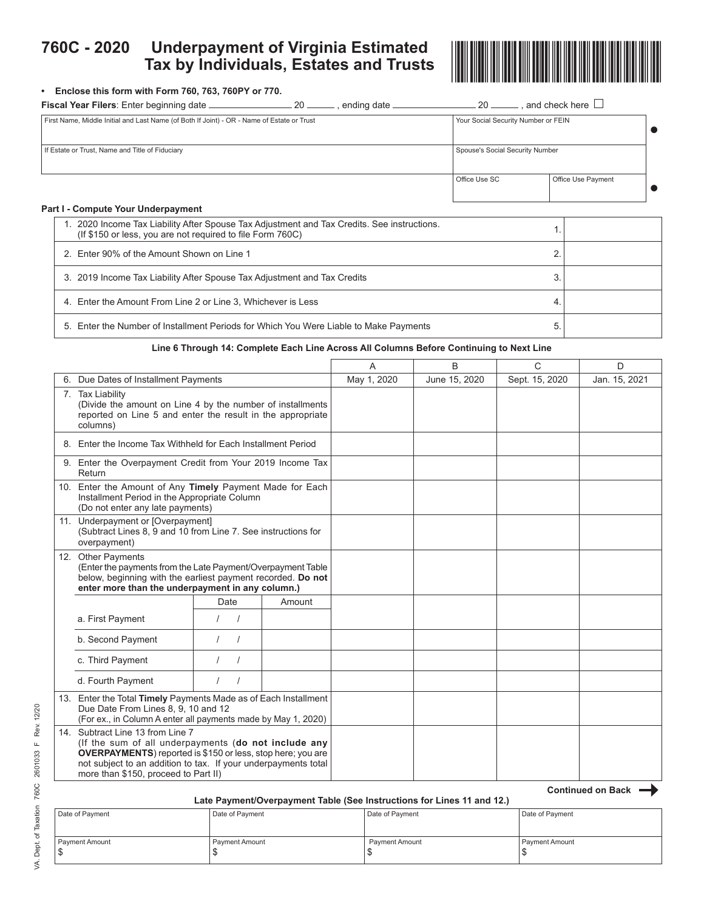## **760C - 2020 Underpayment of Virginia Estimated Tax by Individuals, Estates and Trusts**



### **• Enclose this form with Form 760, 763, 760PY or 770.**

| Fiscal Year Filers: Enter beginning date<br>20<br>. ending date <sub>-</sub>               | 20<br>and check here $\Box$         |  |
|--------------------------------------------------------------------------------------------|-------------------------------------|--|
| First Name, Middle Initial and Last Name (of Both If Joint) - OR - Name of Estate or Trust | Your Social Security Number or FEIN |  |
| If Estate or Trust, Name and Title of Fiduciary                                            | Spouse's Social Security Number     |  |
|                                                                                            | Office Use SC<br>Office Use Payment |  |
| Part I - Compute Your Underpayment                                                         |                                     |  |

# 1. 2020 Income Tax Liability After Spouse Tax Adjustment and Tax Credits. See instructions. 2020 modifies tax Liability After Spouse Tax Adjustment and Tax Credits. See instructions.<br>(If \$150 or less, you are not required to file Form 760C) 2. Enter 90% of the Amount Shown on Line 1 2. 3. 2019 Income Tax Liability After Spouse Tax Adjustment and Tax Credits 3. 4. Enter the Amount From Line 2 or Line 3, Whichever is Less 4. 5. Enter the Number of Installment Periods for Which You Were Liable to Make Payments 5.

### **Line 6 Through 14: Complete Each Line Across All Columns Before Continuing to Next Line**

|                                                                                                                                                                                                                                                                           |          |        | A           | B             | C              | D             |
|---------------------------------------------------------------------------------------------------------------------------------------------------------------------------------------------------------------------------------------------------------------------------|----------|--------|-------------|---------------|----------------|---------------|
| 6. Due Dates of Installment Payments                                                                                                                                                                                                                                      |          |        | May 1, 2020 | June 15, 2020 | Sept. 15, 2020 | Jan. 15, 2021 |
| 7. Tax Liability<br>(Divide the amount on Line 4 by the number of installments<br>reported on Line 5 and enter the result in the appropriate<br>columns)                                                                                                                  |          |        |             |               |                |               |
| 8. Enter the Income Tax Withheld for Each Installment Period                                                                                                                                                                                                              |          |        |             |               |                |               |
| 9. Enter the Overpayment Credit from Your 2019 Income Tax<br>Return                                                                                                                                                                                                       |          |        |             |               |                |               |
| 10. Enter the Amount of Any Timely Payment Made for Each<br>Installment Period in the Appropriate Column<br>(Do not enter any late payments)                                                                                                                              |          |        |             |               |                |               |
| 11. Underpayment or [Overpayment]<br>(Subtract Lines 8, 9 and 10 from Line 7. See instructions for<br>overpayment)                                                                                                                                                        |          |        |             |               |                |               |
| 12. Other Payments<br>(Enter the payments from the Late Payment/Overpayment Table<br>below, beginning with the earliest payment recorded. Do not<br>enter more than the underpayment in any column.)                                                                      |          |        |             |               |                |               |
|                                                                                                                                                                                                                                                                           | Date     | Amount |             |               |                |               |
| a. First Payment                                                                                                                                                                                                                                                          |          |        |             |               |                |               |
| b. Second Payment                                                                                                                                                                                                                                                         |          |        |             |               |                |               |
| c. Third Payment                                                                                                                                                                                                                                                          |          |        |             |               |                |               |
| d. Fourth Payment                                                                                                                                                                                                                                                         | $\prime$ |        |             |               |                |               |
| 13. Enter the Total Timely Payments Made as of Each Installment<br>Due Date From Lines 8, 9, 10 and 12<br>(For ex., in Column A enter all payments made by May 1, 2020)                                                                                                   |          |        |             |               |                |               |
| 14. Subtract Line 13 from Line 7<br>(If the sum of all underpayments (do not include any<br><b>OVERPAYMENTS</b> ) reported is \$150 or less, stop here; you are<br>not subject to an addition to tax. If your underpayments total<br>more than \$150, proceed to Part II) |          |        |             |               |                |               |

#### **Late Payment/Overpayment Table (See Instructions for Lines 11 and 12.)**

| Date of Payment | Date of Payment | Date of Payment | Date of Payment |
|-----------------|-----------------|-----------------|-----------------|
| Payment Amount  | Payment Amount  | Payment Amount  | Payment Amount  |
|                 |                 |                 |                 |